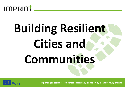

# **Building Resilient Cities and Communities**

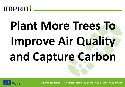

# **Plant More Trees To Improve Air Quality and Capture Carbon**

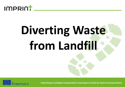

#### **Diverting Waste from Landfill**

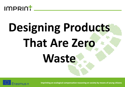

# **Designing Products That Are Zero Waste**

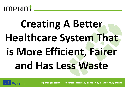

#### **Creating A Better Healthcare System That is More Efficient, Fairer and Has Less Waste**

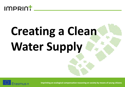

## **Creating a Clean Water Supply**

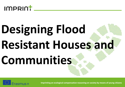

### **Designing Flood Resistant Houses and Communities**

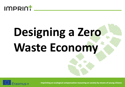

### **Designing a Zero Waste Economy**

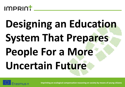

#### **Designing an Education System That Prepares People For a More Uncertain Future**

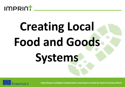

## **Creating Local Food and Goods Systems**

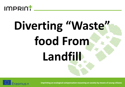

## **Diverting "Waste" food From Landfill**

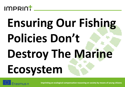

### **Ensuring Our Fishing Policies Don't Destroy The Marine Ecosystem**

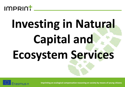

## **Investing in Natural Capital and Ecosystem Services**

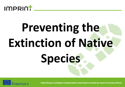

# **Preventing the Extinction of Native Species**

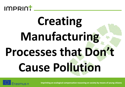

### **Creating Manufacturing Processes that Don't Cause Pollution**

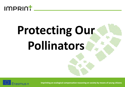

#### **Protecting Our Pollinators**

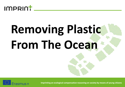

#### **Removing Plastic From The Ocean**

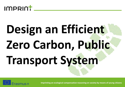

# **Design an Efficient Zero Carbon, Public Transport System**

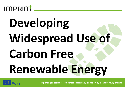

### **Developing Widespread Use of Carbon Free Renewable Energy**

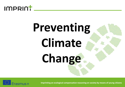

# **Preventing Climate Change**